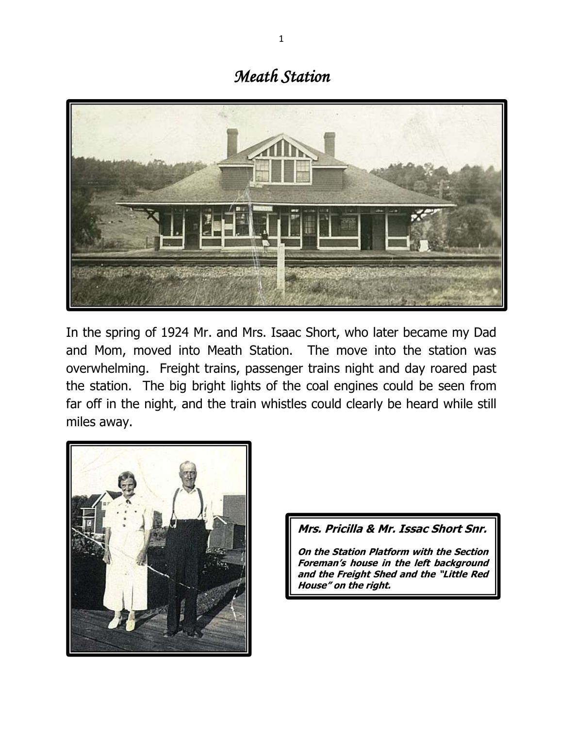## *Meath Station*



In the spring of 1924 Mr. and Mrs. Isaac Short, who later became my Dad and Mom, moved into Meath Station. The move into the station was overwhelming. Freight trains, passenger trains night and day roared past the station. The big bright lights of the coal engines could be seen from far off in the night, and the train whistles could clearly be heard while still miles away.



## **Mrs. Pricilla & Mr. Issac Short Snr.**

**On the Station Platform with the Section Foreman's house in the left background and the Freight Shed and the "Little Red House" on the right.**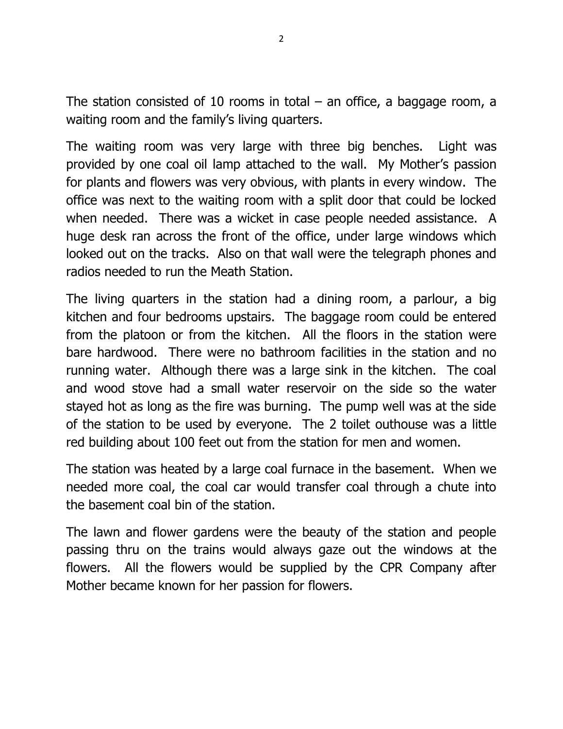The station consisted of 10 rooms in total  $-$  an office, a baggage room, a waiting room and the family's living quarters.

The waiting room was very large with three big benches. Light was provided by one coal oil lamp attached to the wall. My Mother's passion for plants and flowers was very obvious, with plants in every window. The office was next to the waiting room with a split door that could be locked when needed. There was a wicket in case people needed assistance. A huge desk ran across the front of the office, under large windows which looked out on the tracks. Also on that wall were the telegraph phones and radios needed to run the Meath Station.

The living quarters in the station had a dining room, a parlour, a big kitchen and four bedrooms upstairs. The baggage room could be entered from the platoon or from the kitchen. All the floors in the station were bare hardwood. There were no bathroom facilities in the station and no running water. Although there was a large sink in the kitchen. The coal and wood stove had a small water reservoir on the side so the water stayed hot as long as the fire was burning. The pump well was at the side of the station to be used by everyone. The 2 toilet outhouse was a little red building about 100 feet out from the station for men and women.

The station was heated by a large coal furnace in the basement. When we needed more coal, the coal car would transfer coal through a chute into the basement coal bin of the station.

The lawn and flower gardens were the beauty of the station and people passing thru on the trains would always gaze out the windows at the flowers. All the flowers would be supplied by the CPR Company after Mother became known for her passion for flowers.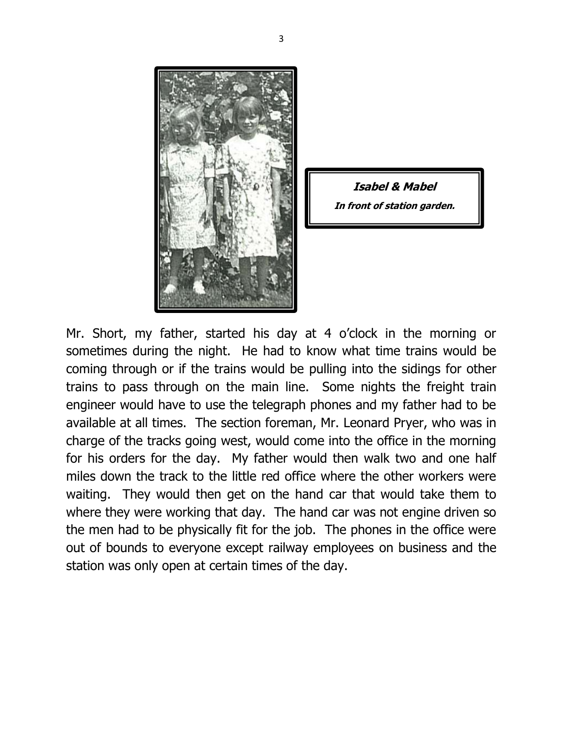

**Isabel & Mabel In front of station garden.**

Mr. Short, my father, started his day at 4 o'clock in the morning or sometimes during the night. He had to know what time trains would be coming through or if the trains would be pulling into the sidings for other trains to pass through on the main line. Some nights the freight train engineer would have to use the telegraph phones and my father had to be available at all times. The section foreman, Mr. Leonard Pryer, who was in charge of the tracks going west, would come into the office in the morning for his orders for the day. My father would then walk two and one half miles down the track to the little red office where the other workers were waiting. They would then get on the hand car that would take them to where they were working that day. The hand car was not engine driven so the men had to be physically fit for the job. The phones in the office were out of bounds to everyone except railway employees on business and the station was only open at certain times of the day.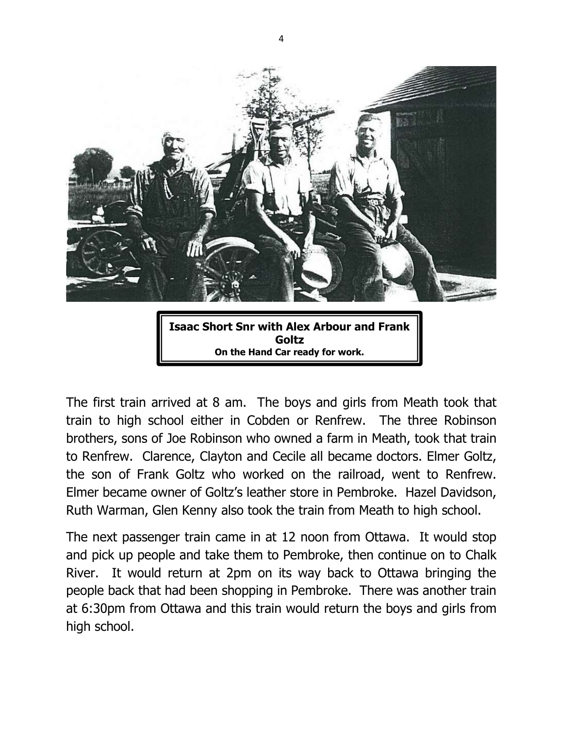

The first train arrived at 8 am. The boys and girls from Meath took that train to high school either in Cobden or Renfrew. The three Robinson brothers, sons of Joe Robinson who owned a farm in Meath, took that train to Renfrew. Clarence, Clayton and Cecile all became doctors. Elmer Goltz, the son of Frank Goltz who worked on the railroad, went to Renfrew. Elmer became owner of Goltz's leather store in Pembroke. Hazel Davidson, Ruth Warman, Glen Kenny also took the train from Meath to high school.

The next passenger train came in at 12 noon from Ottawa. It would stop and pick up people and take them to Pembroke, then continue on to Chalk River. It would return at 2pm on its way back to Ottawa bringing the people back that had been shopping in Pembroke. There was another train at 6:30pm from Ottawa and this train would return the boys and girls from high school.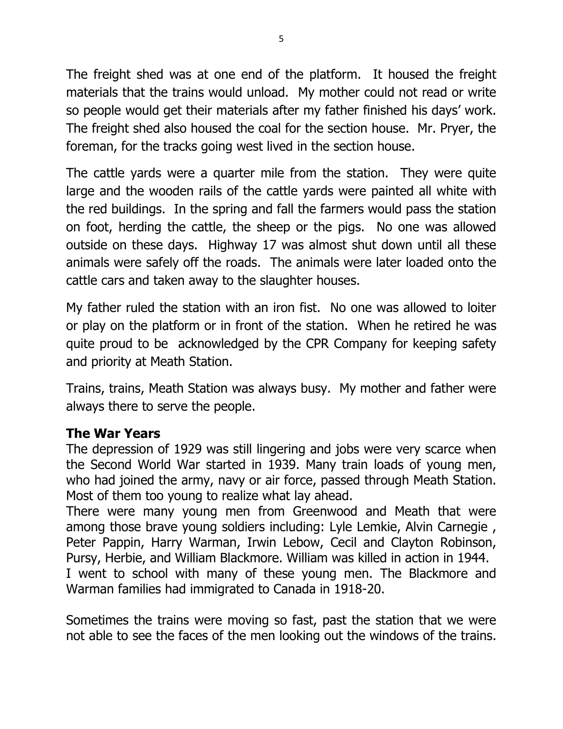The freight shed was at one end of the platform. It housed the freight materials that the trains would unload. My mother could not read or write so people would get their materials after my father finished his days' work. The freight shed also housed the coal for the section house. Mr. Pryer, the foreman, for the tracks going west lived in the section house.

The cattle yards were a quarter mile from the station. They were quite large and the wooden rails of the cattle yards were painted all white with the red buildings. In the spring and fall the farmers would pass the station on foot, herding the cattle, the sheep or the pigs. No one was allowed outside on these days. Highway 17 was almost shut down until all these animals were safely off the roads. The animals were later loaded onto the cattle cars and taken away to the slaughter houses.

My father ruled the station with an iron fist. No one was allowed to loiter or play on the platform or in front of the station. When he retired he was quite proud to be acknowledged by the CPR Company for keeping safety and priority at Meath Station.

Trains, trains, Meath Station was always busy. My mother and father were always there to serve the people.

## **The War Years**

The depression of 1929 was still lingering and jobs were very scarce when the Second World War started in 1939. Many train loads of young men, who had joined the army, navy or air force, passed through Meath Station. Most of them too young to realize what lay ahead.

There were many young men from Greenwood and Meath that were among those brave young soldiers including: Lyle Lemkie, Alvin Carnegie , Peter Pappin, Harry Warman, Irwin Lebow, Cecil and Clayton Robinson, Pursy, Herbie, and William Blackmore. William was killed in action in 1944. I went to school with many of these young men. The Blackmore and Warman families had immigrated to Canada in 1918-20.

Sometimes the trains were moving so fast, past the station that we were not able to see the faces of the men looking out the windows of the trains.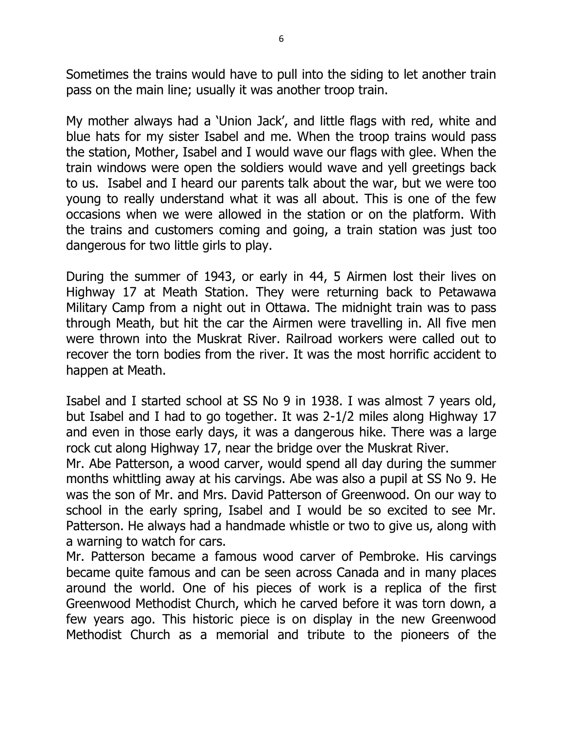Sometimes the trains would have to pull into the siding to let another train pass on the main line; usually it was another troop train.

My mother always had a 'Union Jack', and little flags with red, white and blue hats for my sister Isabel and me. When the troop trains would pass the station, Mother, Isabel and I would wave our flags with glee. When the train windows were open the soldiers would wave and yell greetings back to us. Isabel and I heard our parents talk about the war, but we were too young to really understand what it was all about. This is one of the few occasions when we were allowed in the station or on the platform. With the trains and customers coming and going, a train station was just too dangerous for two little girls to play.

During the summer of 1943, or early in 44, 5 Airmen lost their lives on Highway 17 at Meath Station. They were returning back to Petawawa Military Camp from a night out in Ottawa. The midnight train was to pass through Meath, but hit the car the Airmen were travelling in. All five men were thrown into the Muskrat River. Railroad workers were called out to recover the torn bodies from the river. It was the most horrific accident to happen at Meath.

Isabel and I started school at SS No 9 in 1938. I was almost 7 years old, but Isabel and I had to go together. It was 2-1/2 miles along Highway 17 and even in those early days, it was a dangerous hike. There was a large rock cut along Highway 17, near the bridge over the Muskrat River.

Mr. Abe Patterson, a wood carver, would spend all day during the summer months whittling away at his carvings. Abe was also a pupil at SS No 9. He was the son of Mr. and Mrs. David Patterson of Greenwood. On our way to school in the early spring, Isabel and I would be so excited to see Mr. Patterson. He always had a handmade whistle or two to give us, along with a warning to watch for cars.

Mr. Patterson became a famous wood carver of Pembroke. His carvings became quite famous and can be seen across Canada and in many places around the world. One of his pieces of work is a replica of the first Greenwood Methodist Church, which he carved before it was torn down, a few years ago. This historic piece is on display in the new Greenwood Methodist Church as a memorial and tribute to the pioneers of the